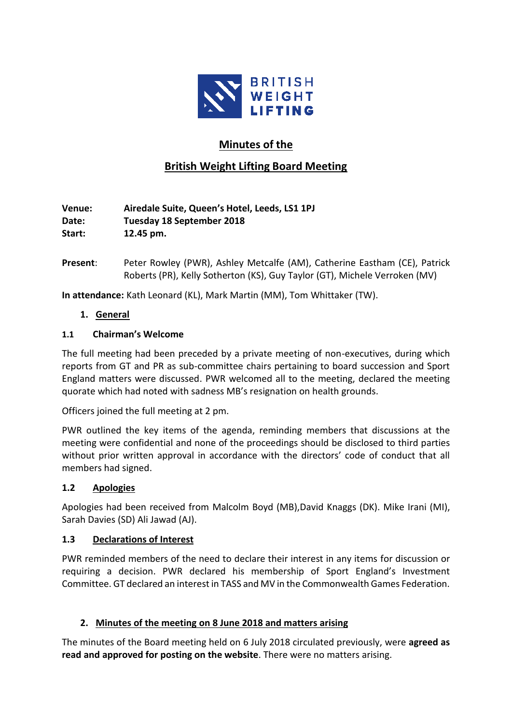

# **Minutes of the**

# **British Weight Lifting Board Meeting**

**Venue: Airedale Suite, Queen's Hotel, Leeds, LS1 1PJ Date: Tuesday 18 September 2018 Start: 12.45 pm.**

**Present**: Peter Rowley (PWR), Ashley Metcalfe (AM), Catherine Eastham (CE), Patrick Roberts (PR), Kelly Sotherton (KS), Guy Taylor (GT), Michele Verroken (MV)

**In attendance:** Kath Leonard (KL), Mark Martin (MM), Tom Whittaker (TW).

**1. General**

#### **1.1 Chairman's Welcome**

The full meeting had been preceded by a private meeting of non-executives, during which reports from GT and PR as sub-committee chairs pertaining to board succession and Sport England matters were discussed. PWR welcomed all to the meeting, declared the meeting quorate which had noted with sadness MB's resignation on health grounds.

Officers joined the full meeting at 2 pm.

PWR outlined the key items of the agenda, reminding members that discussions at the meeting were confidential and none of the proceedings should be disclosed to third parties without prior written approval in accordance with the directors' code of conduct that all members had signed.

#### **1.2 Apologies**

Apologies had been received from Malcolm Boyd (MB),David Knaggs (DK). Mike Irani (MI), Sarah Davies (SD) Ali Jawad (AJ).

#### **1.3 Declarations of Interest**

PWR reminded members of the need to declare their interest in any items for discussion or requiring a decision. PWR declared his membership of Sport England's Investment Committee. GT declared an interest in TASS and MV in the Commonwealth Games Federation.

## **2. Minutes of the meeting on 8 June 2018 and matters arising**

The minutes of the Board meeting held on 6 July 2018 circulated previously, were **agreed as read and approved for posting on the website**. There were no matters arising.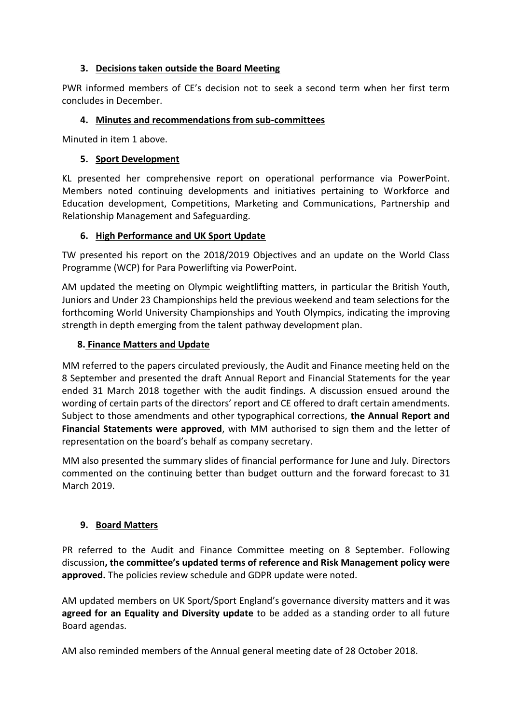#### **3. Decisions taken outside the Board Meeting**

PWR informed members of CE's decision not to seek a second term when her first term concludes in December.

### **4. Minutes and recommendations from sub-committees**

Minuted in item 1 above.

### **5. Sport Development**

KL presented her comprehensive report on operational performance via PowerPoint. Members noted continuing developments and initiatives pertaining to Workforce and Education development, Competitions, Marketing and Communications, Partnership and Relationship Management and Safeguarding.

### **6. High Performance and UK Sport Update**

TW presented his report on the 2018/2019 Objectives and an update on the World Class Programme (WCP) for Para Powerlifting via PowerPoint.

AM updated the meeting on Olympic weightlifting matters, in particular the British Youth, Juniors and Under 23 Championships held the previous weekend and team selections for the forthcoming World University Championships and Youth Olympics, indicating the improving strength in depth emerging from the talent pathway development plan.

### **8. Finance Matters and Update**

MM referred to the papers circulated previously, the Audit and Finance meeting held on the 8 September and presented the draft Annual Report and Financial Statements for the year ended 31 March 2018 together with the audit findings. A discussion ensued around the wording of certain parts of the directors' report and CE offered to draft certain amendments. Subject to those amendments and other typographical corrections, **the Annual Report and Financial Statements were approved**, with MM authorised to sign them and the letter of representation on the board's behalf as company secretary.

MM also presented the summary slides of financial performance for June and July. Directors commented on the continuing better than budget outturn and the forward forecast to 31 March 2019.

## **9. Board Matters**

PR referred to the Audit and Finance Committee meeting on 8 September. Following discussion**, the committee's updated terms of reference and Risk Management policy were approved.** The policies review schedule and GDPR update were noted.

AM updated members on UK Sport/Sport England's governance diversity matters and it was **agreed for an Equality and Diversity update** to be added as a standing order to all future Board agendas.

AM also reminded members of the Annual general meeting date of 28 October 2018.